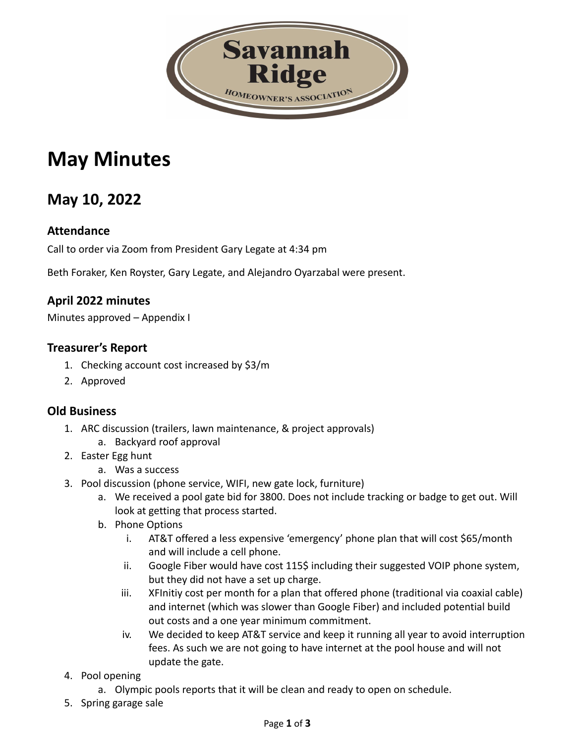

# **May Minutes**

## **May 10, 2022**

#### **Attendance**

Call to order via Zoom from President Gary Legate at 4:34 pm

Beth Foraker, Ken Royster, Gary Legate, and Alejandro Oyarzabal were present.

#### **April 2022 minutes**

Minutes approved – Appendix I

#### **Treasurer's Report**

- 1. Checking account cost increased by \$3/m
- 2. Approved

#### **Old Business**

- 1. ARC discussion (trailers, lawn maintenance, & project approvals)
	- a. Backyard roof approval
- 2. Easter Egg hunt
	- a. Was a success
- 3. Pool discussion (phone service, WIFI, new gate lock, furniture)
	- a. We received a pool gate bid for 3800. Does not include tracking or badge to get out. Will look at getting that process started.
	- b. Phone Options
		- i. AT&T offered a less expensive 'emergency' phone plan that will cost \$65/month and will include a cell phone.
		- ii. Google Fiber would have cost 115\$ including their suggested VOIP phone system, but they did not have a set up charge.
		- iii. XFInitiy cost per month for a plan that offered phone (traditional via coaxial cable) and internet (which was slower than Google Fiber) and included potential build out costs and a one year minimum commitment.
		- iv. We decided to keep AT&T service and keep it running all year to avoid interruption fees. As such we are not going to have internet at the pool house and will not update the gate.
- 4. Pool opening
	- a. Olympic pools reports that it will be clean and ready to open on schedule.
- 5. Spring garage sale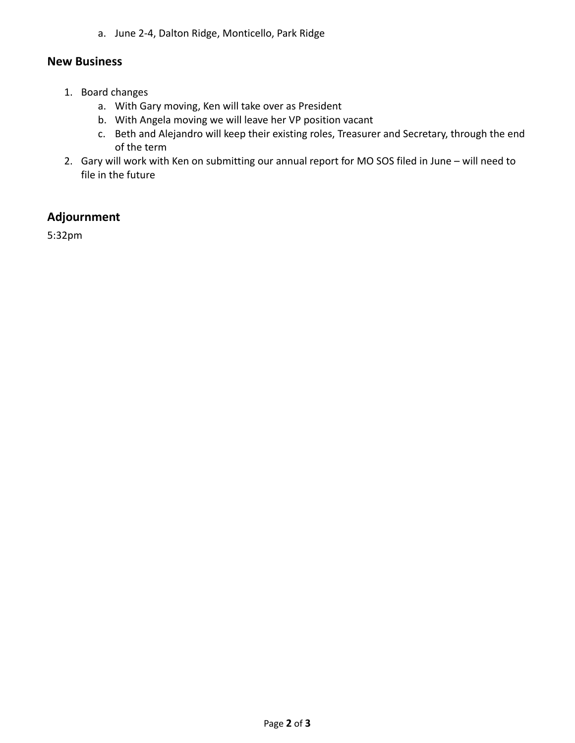a. June 2-4, Dalton Ridge, Monticello, Park Ridge

#### **New Business**

- 1. Board changes
	- a. With Gary moving, Ken will take over as President
	- b. With Angela moving we will leave her VP position vacant
	- c. Beth and Alejandro will keep their existing roles, Treasurer and Secretary, through the end of the term
- 2. Gary will work with Ken on submitting our annual report for MO SOS filed in June will need to file in the future

#### **Adjournment**

5:32pm